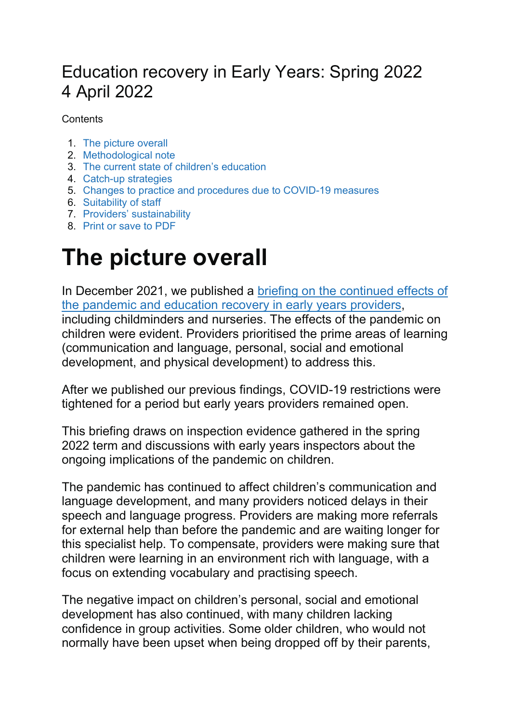## Education recovery in Early Years: Spring 2022 4 April 2022

**Contents** 

- 1. The picture overall
- 2. Methodological note
- 3. The current state of children's education
- 4. Catch-up strategies
- 5. Changes to practice and procedures due to COVID-19 measures
- 6. Suitability of staff
- 7. Providers' sustainability
- 8. Print or save to PDF

# The picture overall

In December 2021, we published a briefing on the continued effects of the pandemic and education recovery in early years providers, including childminders and nurseries. The effects of the pandemic on children were evident. Providers prioritised the prime areas of learning (communication and language, personal, social and emotional development, and physical development) to address this.

After we published our previous findings, COVID-19 restrictions were tightened for a period but early years providers remained open.

This briefing draws on inspection evidence gathered in the spring 2022 term and discussions with early years inspectors about the ongoing implications of the pandemic on children.

The pandemic has continued to affect children's communication and language development, and many providers noticed delays in their speech and language progress. Providers are making more referrals for external help than before the pandemic and are waiting longer for this specialist help. To compensate, providers were making sure that children were learning in an environment rich with language, with a focus on extending vocabulary and practising speech.

The negative impact on children's personal, social and emotional development has also continued, with many children lacking confidence in group activities. Some older children, who would not normally have been upset when being dropped off by their parents,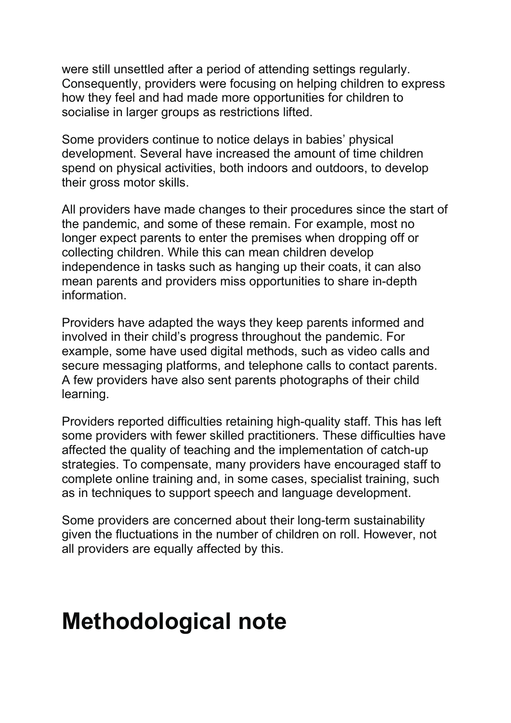were still unsettled after a period of attending settings regularly. Consequently, providers were focusing on helping children to express how they feel and had made more opportunities for children to socialise in larger groups as restrictions lifted.

Some providers continue to notice delays in babies' physical development. Several have increased the amount of time children spend on physical activities, both indoors and outdoors, to develop their gross motor skills.

All providers have made changes to their procedures since the start of the pandemic, and some of these remain. For example, most no longer expect parents to enter the premises when dropping off or collecting children. While this can mean children develop independence in tasks such as hanging up their coats, it can also mean parents and providers miss opportunities to share in-depth information.

Providers have adapted the ways they keep parents informed and involved in their child's progress throughout the pandemic. For example, some have used digital methods, such as video calls and secure messaging platforms, and telephone calls to contact parents. A few providers have also sent parents photographs of their child learning.

Providers reported difficulties retaining high-quality staff. This has left some providers with fewer skilled practitioners. These difficulties have affected the quality of teaching and the implementation of catch-up strategies. To compensate, many providers have encouraged staff to complete online training and, in some cases, specialist training, such as in techniques to support speech and language development.

Some providers are concerned about their long-term sustainability given the fluctuations in the number of children on roll. However, not all providers are equally affected by this.

## Methodological note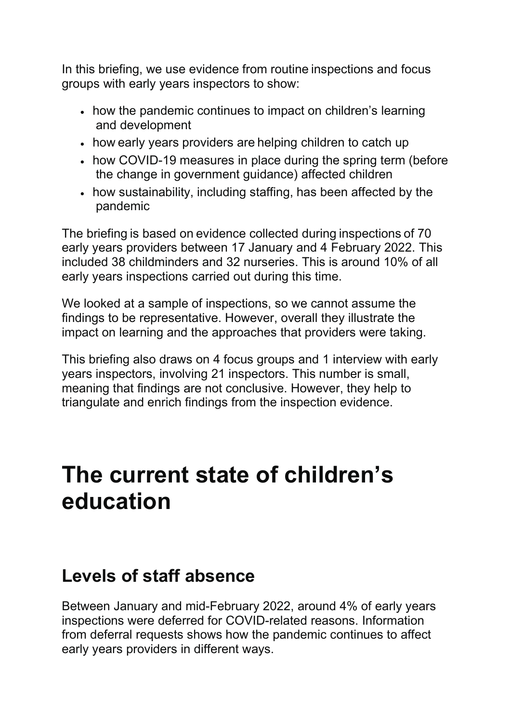In this briefing, we use evidence from routine inspections and focus groups with early years inspectors to show: 

- how the pandemic continues to impact on children's learning and development
- how early years providers are helping children to catch up
- how COVID-19 measures in place during the spring term (before the change in government guidance) affected children
- how sustainability, including staffing, has been affected by the pandemic

The briefing is based on evidence collected during inspections of 70 early years providers between 17 January and 4 February 2022. This included 38 childminders and 32 nurseries. This is around 10% of all early years inspections carried out during this time.

We looked at a sample of inspections, so we cannot assume the findings to be representative. However, overall they illustrate the impact on learning and the approaches that providers were taking.

This briefing also draws on 4 focus groups and 1 interview with early years inspectors, involving 21 inspectors. This number is small, meaning that findings are not conclusive. However, they help to triangulate and enrich findings from the inspection evidence.

## The current state of children's education

## Levels of staff absence

Between January and mid-February 2022, around 4% of early years inspections were deferred for COVID-related reasons. Information from deferral requests shows how the pandemic continues to affect early years providers in different ways.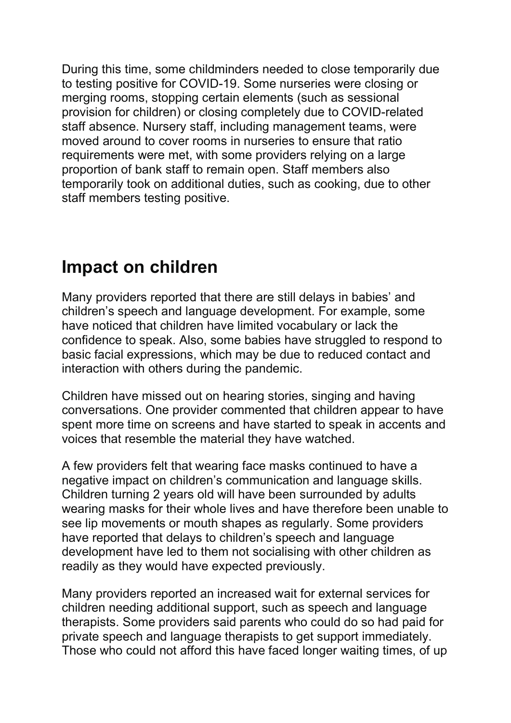During this time, some childminders needed to close temporarily due to testing positive for COVID-19. Some nurseries were closing or merging rooms, stopping certain elements (such as sessional provision for children) or closing completely due to COVID-related staff absence. Nursery staff, including management teams, were moved around to cover rooms in nurseries to ensure that ratio requirements were met, with some providers relying on a large proportion of bank staff to remain open. Staff members also temporarily took on additional duties, such as cooking, due to other staff members testing positive.

## Impact on children

Many providers reported that there are still delays in babies' and children's speech and language development. For example, some have noticed that children have limited vocabulary or lack the confidence to speak. Also, some babies have struggled to respond to basic facial expressions, which may be due to reduced contact and interaction with others during the pandemic.

Children have missed out on hearing stories, singing and having conversations. One provider commented that children appear to have spent more time on screens and have started to speak in accents and voices that resemble the material they have watched.

A few providers felt that wearing face masks continued to have a negative impact on children's communication and language skills. Children turning 2 years old will have been surrounded by adults wearing masks for their whole lives and have therefore been unable to see lip movements or mouth shapes as regularly. Some providers have reported that delays to children's speech and language development have led to them not socialising with other children as readily as they would have expected previously.

Many providers reported an increased wait for external services for children needing additional support, such as speech and language therapists. Some providers said parents who could do so had paid for private speech and language therapists to get support immediately. Those who could not afford this have faced longer waiting times, of up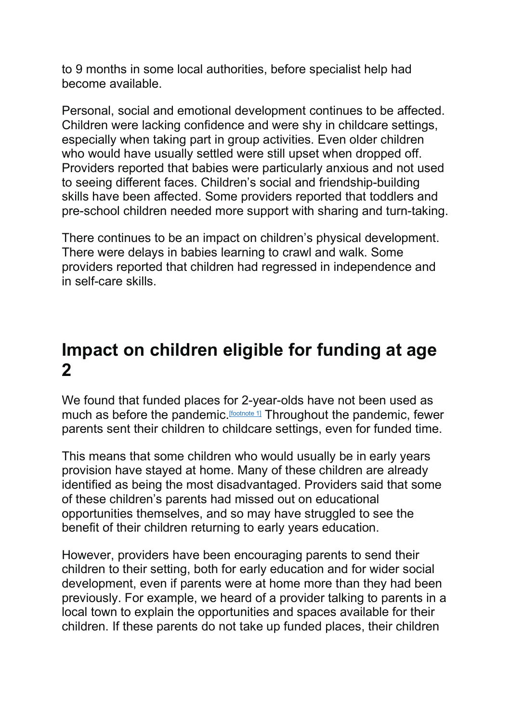to 9 months in some local authorities, before specialist help had become available.

Personal, social and emotional development continues to be affected. Children were lacking confidence and were shy in childcare settings, especially when taking part in group activities. Even older children who would have usually settled were still upset when dropped off. Providers reported that babies were particularly anxious and not used to seeing different faces. Children's social and friendship-building skills have been affected. Some providers reported that toddlers and pre-school children needed more support with sharing and turn-taking.

There continues to be an impact on children's physical development. There were delays in babies learning to crawl and walk. Some providers reported that children had regressed in independence and in self-care skills.

## Impact on children eligible for funding at age 2

We found that funded places for 2-year-olds have not been used as much as before the pandemic. [footnote 1] Throughout the pandemic, fewer parents sent their children to childcare settings, even for funded time.

This means that some children who would usually be in early years provision have stayed at home. Many of these children are already identified as being the most disadvantaged. Providers said that some of these children's parents had missed out on educational opportunities themselves, and so may have struggled to see the benefit of their children returning to early years education.

However, providers have been encouraging parents to send their children to their setting, both for early education and for wider social development, even if parents were at home more than they had been previously. For example, we heard of a provider talking to parents in a local town to explain the opportunities and spaces available for their children. If these parents do not take up funded places, their children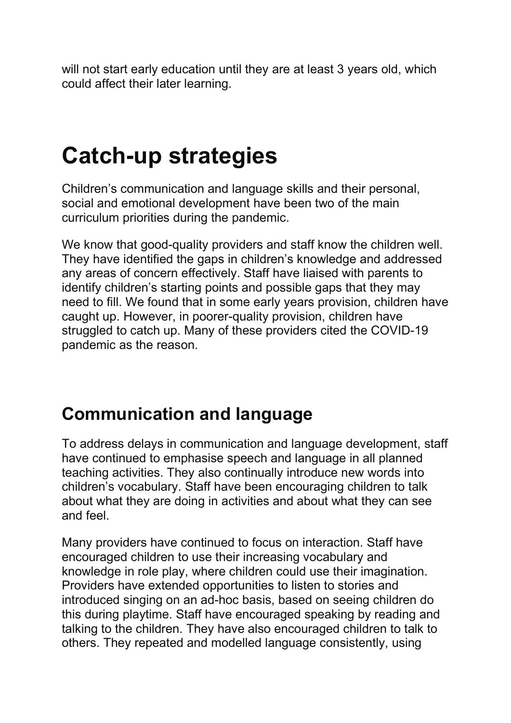will not start early education until they are at least 3 years old, which could affect their later learning.

# Catch-up strategies

Children's communication and language skills and their personal, social and emotional development have been two of the main curriculum priorities during the pandemic.

We know that good-quality providers and staff know the children well. They have identified the gaps in children's knowledge and addressed any areas of concern effectively. Staff have liaised with parents to identify children's starting points and possible gaps that they may need to fill. We found that in some early years provision, children have caught up. However, in poorer-quality provision, children have struggled to catch up. Many of these providers cited the COVID-19 pandemic as the reason.

## Communication and language

To address delays in communication and language development, staff have continued to emphasise speech and language in all planned teaching activities. They also continually introduce new words into children's vocabulary. Staff have been encouraging children to talk about what they are doing in activities and about what they can see and feel.

Many providers have continued to focus on interaction. Staff have encouraged children to use their increasing vocabulary and knowledge in role play, where children could use their imagination. Providers have extended opportunities to listen to stories and introduced singing on an ad-hoc basis, based on seeing children do this during playtime. Staff have encouraged speaking by reading and talking to the children. They have also encouraged children to talk to others. They repeated and modelled language consistently, using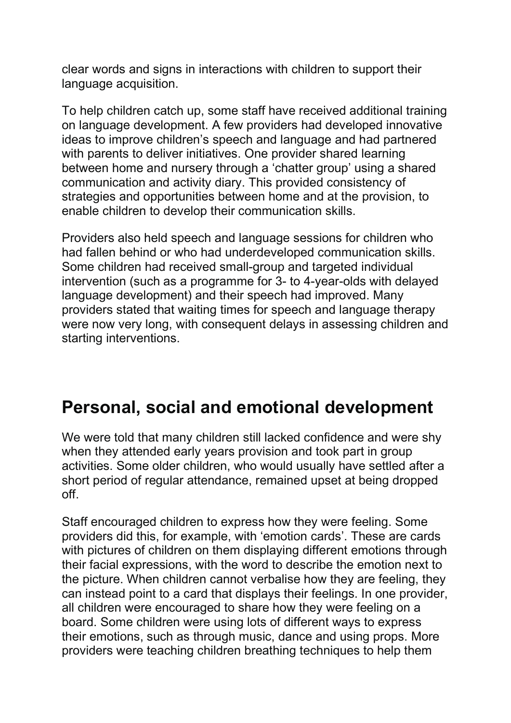clear words and signs in interactions with children to support their language acquisition.

To help children catch up, some staff have received additional training on language development. A few providers had developed innovative ideas to improve children's speech and language and had partnered with parents to deliver initiatives. One provider shared learning between home and nursery through a 'chatter group' using a shared communication and activity diary. This provided consistency of strategies and opportunities between home and at the provision, to enable children to develop their communication skills.

Providers also held speech and language sessions for children who had fallen behind or who had underdeveloped communication skills. Some children had received small-group and targeted individual intervention (such as a programme for 3- to 4-year-olds with delayed language development) and their speech had improved. Many providers stated that waiting times for speech and language therapy were now very long, with consequent delays in assessing children and starting interventions.

## Personal, social and emotional development

We were told that many children still lacked confidence and were shy when they attended early years provision and took part in group activities. Some older children, who would usually have settled after a short period of regular attendance, remained upset at being dropped off.

Staff encouraged children to express how they were feeling. Some providers did this, for example, with 'emotion cards'. These are cards with pictures of children on them displaying different emotions through their facial expressions, with the word to describe the emotion next to the picture. When children cannot verbalise how they are feeling, they can instead point to a card that displays their feelings. In one provider, all children were encouraged to share how they were feeling on a board. Some children were using lots of different ways to express their emotions, such as through music, dance and using props. More providers were teaching children breathing techniques to help them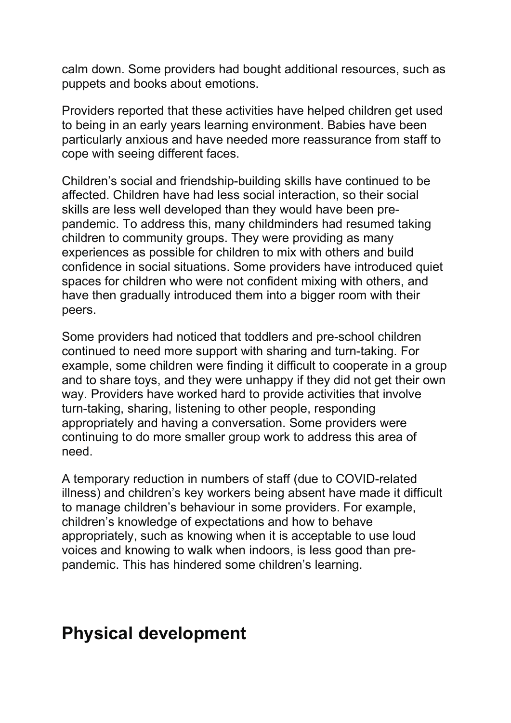calm down. Some providers had bought additional resources, such as puppets and books about emotions.

Providers reported that these activities have helped children get used to being in an early years learning environment. Babies have been particularly anxious and have needed more reassurance from staff to cope with seeing different faces.

Children's social and friendship-building skills have continued to be affected. Children have had less social interaction, so their social skills are less well developed than they would have been prepandemic. To address this, many childminders had resumed taking children to community groups. They were providing as many experiences as possible for children to mix with others and build confidence in social situations. Some providers have introduced quiet spaces for children who were not confident mixing with others, and have then gradually introduced them into a bigger room with their peers.

Some providers had noticed that toddlers and pre-school children continued to need more support with sharing and turn-taking. For example, some children were finding it difficult to cooperate in a group and to share toys, and they were unhappy if they did not get their own way. Providers have worked hard to provide activities that involve turn-taking, sharing, listening to other people, responding appropriately and having a conversation. Some providers were continuing to do more smaller group work to address this area of need.

A temporary reduction in numbers of staff (due to COVID-related illness) and children's key workers being absent have made it difficult to manage children's behaviour in some providers. For example, children's knowledge of expectations and how to behave appropriately, such as knowing when it is acceptable to use loud voices and knowing to walk when indoors, is less good than prepandemic. This has hindered some children's learning.

#### Physical development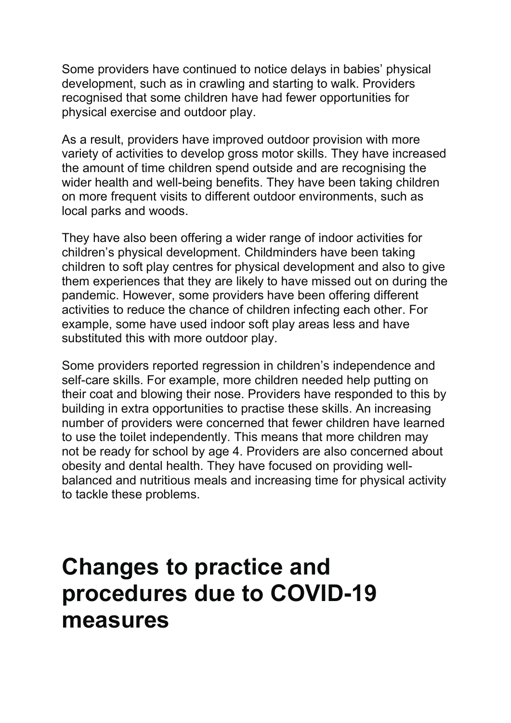Some providers have continued to notice delays in babies' physical development, such as in crawling and starting to walk. Providers recognised that some children have had fewer opportunities for physical exercise and outdoor play.

As a result, providers have improved outdoor provision with more variety of activities to develop gross motor skills. They have increased the amount of time children spend outside and are recognising the wider health and well-being benefits. They have been taking children on more frequent visits to different outdoor environments, such as local parks and woods.

They have also been offering a wider range of indoor activities for children's physical development. Childminders have been taking children to soft play centres for physical development and also to give them experiences that they are likely to have missed out on during the pandemic. However, some providers have been offering different activities to reduce the chance of children infecting each other. For example, some have used indoor soft play areas less and have substituted this with more outdoor play.

Some providers reported regression in children's independence and self-care skills. For example, more children needed help putting on their coat and blowing their nose. Providers have responded to this by building in extra opportunities to practise these skills. An increasing number of providers were concerned that fewer children have learned to use the toilet independently. This means that more children may not be ready for school by age 4. Providers are also concerned about obesity and dental health. They have focused on providing wellbalanced and nutritious meals and increasing time for physical activity to tackle these problems.

## Changes to practice and procedures due to COVID-19 measures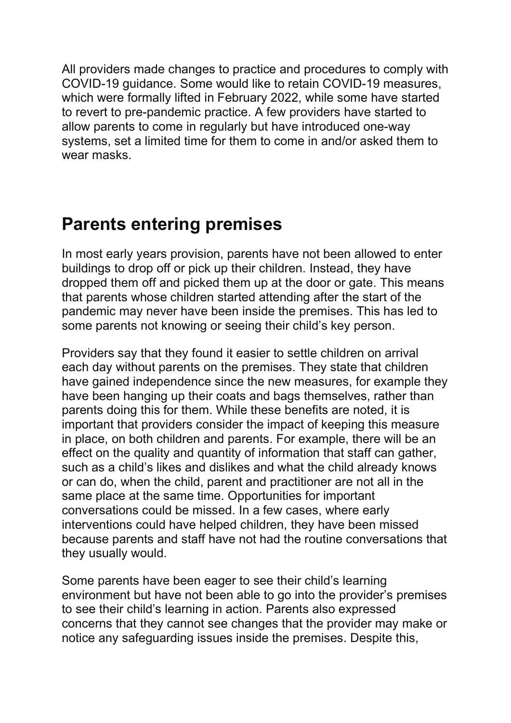All providers made changes to practice and procedures to comply with COVID-19 guidance. Some would like to retain COVID-19 measures, which were formally lifted in February 2022, while some have started to revert to pre-pandemic practice. A few providers have started to allow parents to come in regularly but have introduced one-way systems, set a limited time for them to come in and/or asked them to wear masks.

## Parents entering premises

In most early years provision, parents have not been allowed to enter buildings to drop off or pick up their children. Instead, they have dropped them off and picked them up at the door or gate. This means that parents whose children started attending after the start of the pandemic may never have been inside the premises. This has led to some parents not knowing or seeing their child's key person.

Providers say that they found it easier to settle children on arrival each day without parents on the premises. They state that children have gained independence since the new measures, for example they have been hanging up their coats and bags themselves, rather than parents doing this for them. While these benefits are noted, it is important that providers consider the impact of keeping this measure in place, on both children and parents. For example, there will be an effect on the quality and quantity of information that staff can gather, such as a child's likes and dislikes and what the child already knows or can do, when the child, parent and practitioner are not all in the same place at the same time. Opportunities for important conversations could be missed. In a few cases, where early interventions could have helped children, they have been missed because parents and staff have not had the routine conversations that they usually would.

Some parents have been eager to see their child's learning environment but have not been able to go into the provider's premises to see their child's learning in action. Parents also expressed concerns that they cannot see changes that the provider may make or notice any safeguarding issues inside the premises. Despite this,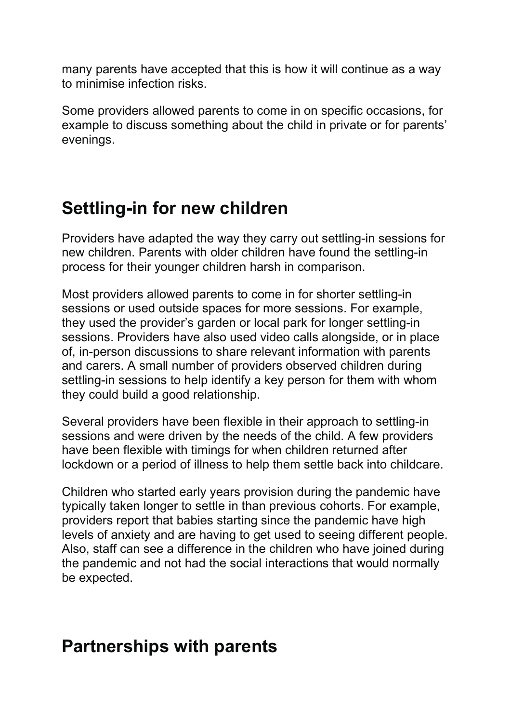many parents have accepted that this is how it will continue as a way to minimise infection risks.

Some providers allowed parents to come in on specific occasions, for example to discuss something about the child in private or for parents' evenings.

## Settling-in for new children

Providers have adapted the way they carry out settling-in sessions for new children. Parents with older children have found the settling-in process for their younger children harsh in comparison.

Most providers allowed parents to come in for shorter settling-in sessions or used outside spaces for more sessions. For example, they used the provider's garden or local park for longer settling-in sessions. Providers have also used video calls alongside, or in place of, in-person discussions to share relevant information with parents and carers. A small number of providers observed children during settling-in sessions to help identify a key person for them with whom they could build a good relationship.

Several providers have been flexible in their approach to settling-in sessions and were driven by the needs of the child. A few providers have been flexible with timings for when children returned after lockdown or a period of illness to help them settle back into childcare.

Children who started early years provision during the pandemic have typically taken longer to settle in than previous cohorts. For example, providers report that babies starting since the pandemic have high levels of anxiety and are having to get used to seeing different people. Also, staff can see a difference in the children who have joined during the pandemic and not had the social interactions that would normally be expected.

### Partnerships with parents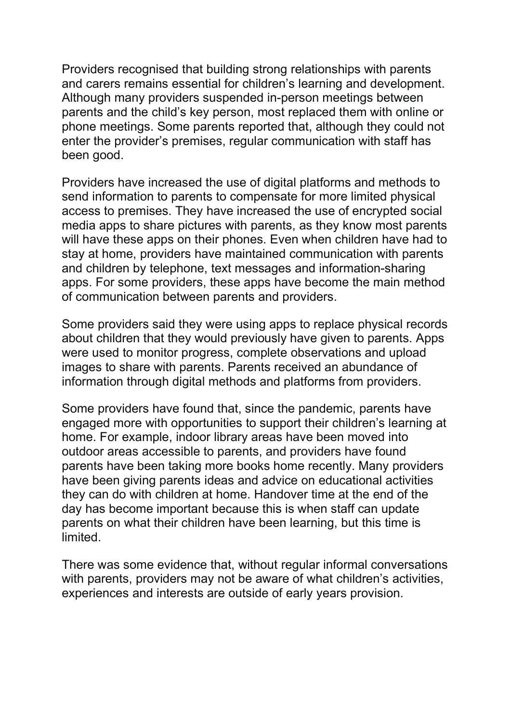Providers recognised that building strong relationships with parents and carers remains essential for children's learning and development. Although many providers suspended in-person meetings between parents and the child's key person, most replaced them with online or phone meetings. Some parents reported that, although they could not enter the provider's premises, regular communication with staff has been good.

Providers have increased the use of digital platforms and methods to send information to parents to compensate for more limited physical access to premises. They have increased the use of encrypted social media apps to share pictures with parents, as they know most parents will have these apps on their phones. Even when children have had to stay at home, providers have maintained communication with parents and children by telephone, text messages and information-sharing apps. For some providers, these apps have become the main method of communication between parents and providers.

Some providers said they were using apps to replace physical records about children that they would previously have given to parents. Apps were used to monitor progress, complete observations and upload images to share with parents. Parents received an abundance of information through digital methods and platforms from providers.

Some providers have found that, since the pandemic, parents have engaged more with opportunities to support their children's learning at home. For example, indoor library areas have been moved into outdoor areas accessible to parents, and providers have found parents have been taking more books home recently. Many providers have been giving parents ideas and advice on educational activities they can do with children at home. Handover time at the end of the day has become important because this is when staff can update parents on what their children have been learning, but this time is limited.

There was some evidence that, without regular informal conversations with parents, providers may not be aware of what children's activities, experiences and interests are outside of early years provision.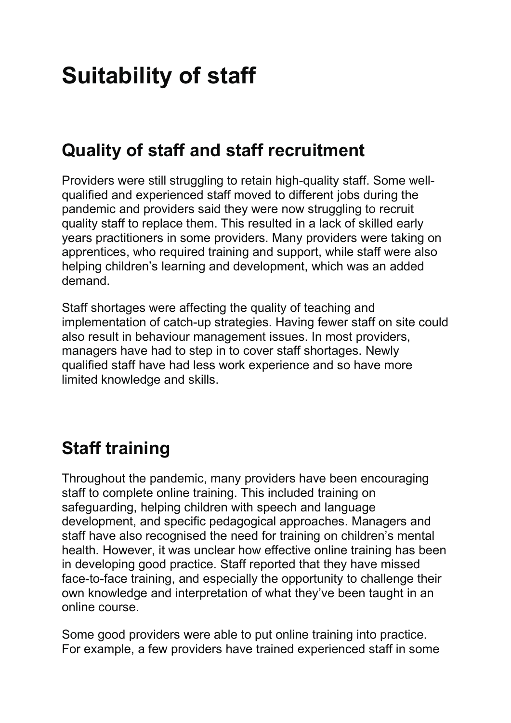# Suitability of staff

## Quality of staff and staff recruitment

Providers were still struggling to retain high-quality staff. Some wellqualified and experienced staff moved to different jobs during the pandemic and providers said they were now struggling to recruit quality staff to replace them. This resulted in a lack of skilled early years practitioners in some providers. Many providers were taking on apprentices, who required training and support, while staff were also helping children's learning and development, which was an added demand.

Staff shortages were affecting the quality of teaching and implementation of catch-up strategies. Having fewer staff on site could also result in behaviour management issues. In most providers, managers have had to step in to cover staff shortages. Newly qualified staff have had less work experience and so have more limited knowledge and skills.

## Staff training

Throughout the pandemic, many providers have been encouraging staff to complete online training. This included training on safeguarding, helping children with speech and language development, and specific pedagogical approaches. Managers and staff have also recognised the need for training on children's mental health. However, it was unclear how effective online training has been in developing good practice. Staff reported that they have missed face-to-face training, and especially the opportunity to challenge their own knowledge and interpretation of what they've been taught in an online course.

Some good providers were able to put online training into practice. For example, a few providers have trained experienced staff in some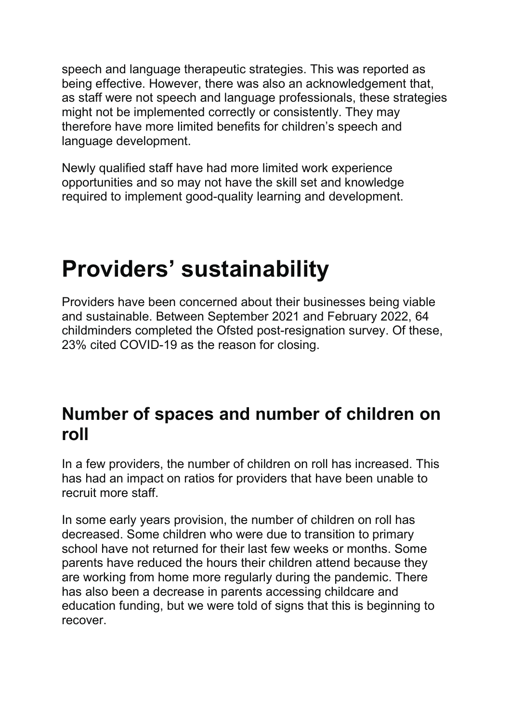speech and language therapeutic strategies. This was reported as being effective. However, there was also an acknowledgement that, as staff were not speech and language professionals, these strategies might not be implemented correctly or consistently. They may therefore have more limited benefits for children's speech and language development.

Newly qualified staff have had more limited work experience opportunities and so may not have the skill set and knowledge required to implement good-quality learning and development.

# Providers' sustainability

Providers have been concerned about their businesses being viable and sustainable. Between September 2021 and February 2022, 64 childminders completed the Ofsted post-resignation survey. Of these, 23% cited COVID-19 as the reason for closing.

## Number of spaces and number of children on roll

In a few providers, the number of children on roll has increased. This has had an impact on ratios for providers that have been unable to recruit more staff.

In some early years provision, the number of children on roll has decreased. Some children who were due to transition to primary school have not returned for their last few weeks or months. Some parents have reduced the hours their children attend because they are working from home more regularly during the pandemic. There has also been a decrease in parents accessing childcare and education funding, but we were told of signs that this is beginning to recover.